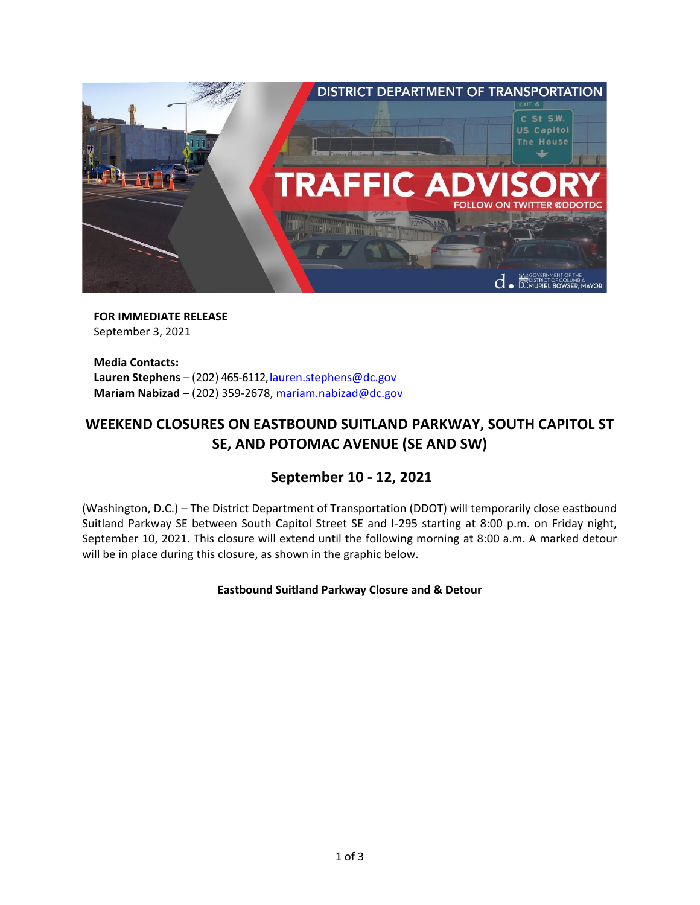

**FOR IMMEDIATE RELEASE** September 3, 2021

**Media Contacts:** Lauren Stephens - (202) 465-6112, lauren.stephens@dc.gov **Mariam Nabizad** – (202) 359-2678, [mariam.nabizad@dc.gov](mailto:mariam.nabizad@dc.gov)

# **WEEKEND CLOSURES ON EASTBOUND SUITLAND PARKWAY, SOUTH CAPITOL ST SE, AND POTOMAC AVENUE (SE AND SW)**

# **September 10 - 12, 2021**

(Washington, D.C.) – The District Department of Transportation (DDOT) will temporarily close eastbound Suitland Parkway SE between South Capitol Street SE and I-295 starting at 8:00 p.m. on Friday night, September 10, 2021. This closure will extend until the following morning at 8:00 a.m. A marked detour will be in place during this closure, as shown in the graphic below.

## **Eastbound Suitland Parkway Closure and & Detour**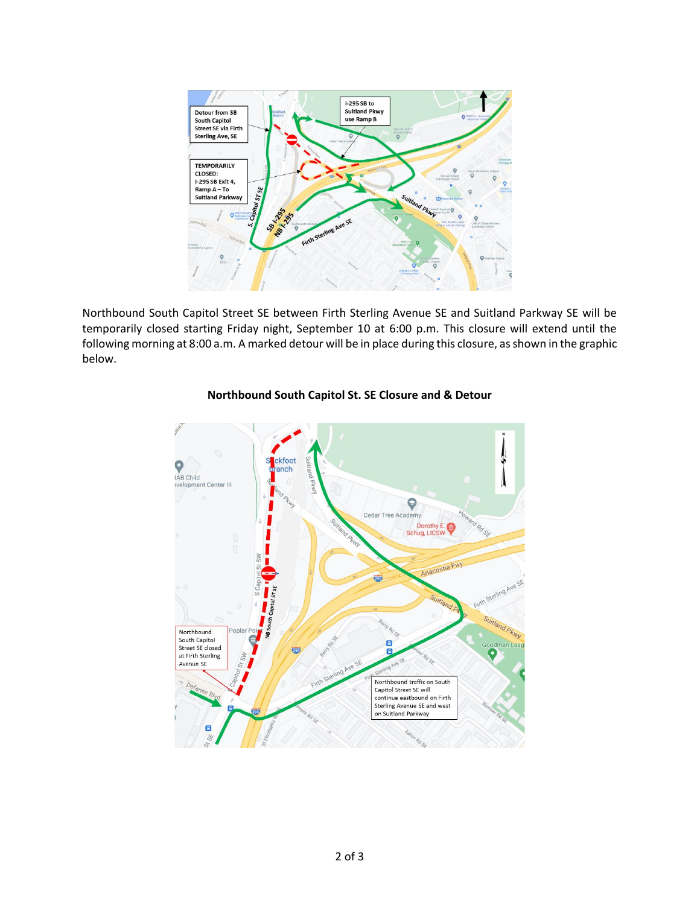

Northbound South Capitol Street SE between Firth Sterling Avenue SE and Suitland Parkway SE will be temporarily closed starting Friday night, September 10 at 6:00 p.m. This closure will extend until the following morning at 8:00 a.m. A marked detour will be in place during this closure, as shown in the graphic below.



# **Northbound South Capitol St. SE Closure and & Detour**